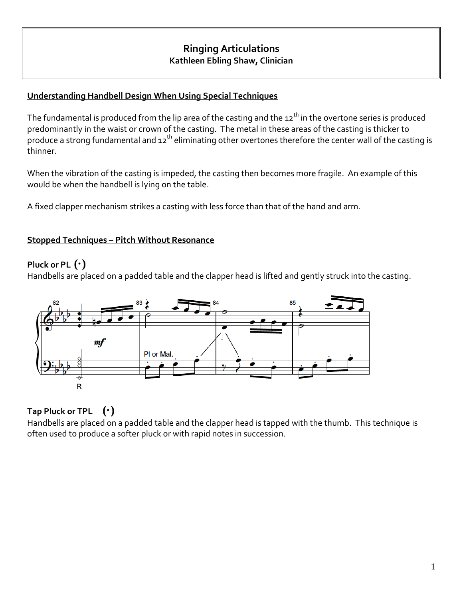# **Ringing Articulations Kathleen Ebling Shaw, Clinician**

### **Understanding Handbell Design When Using Special Techniques**

The fundamental is produced from the lip area of the casting and the  $12<sup>th</sup>$  in the overtone series is produced predominantly in the waist or crown of the casting. The metal in these areas of the casting is thicker to produce a strong fundamental and 12<sup>th</sup> eliminating other overtones therefore the center wall of the casting is thinner.

When the vibration of the casting is impeded, the casting then becomes more fragile. An example of this would be when the handbell is lying on the table.

A fixed clapper mechanism strikes a casting with less force than that of the hand and arm.

#### **Stopped Techniques – Pitch Without Resonance**

#### **Pluck or PL (·)**

Handbells are placed on a padded table and the clapper head is lifted and gently struck into the casting.



# **Tap Pluck or TPL (·)**

Handbells are placed on a padded table and the clapper head is tapped with the thumb. This technique is often used to produce a softer pluck or with rapid notes in succession.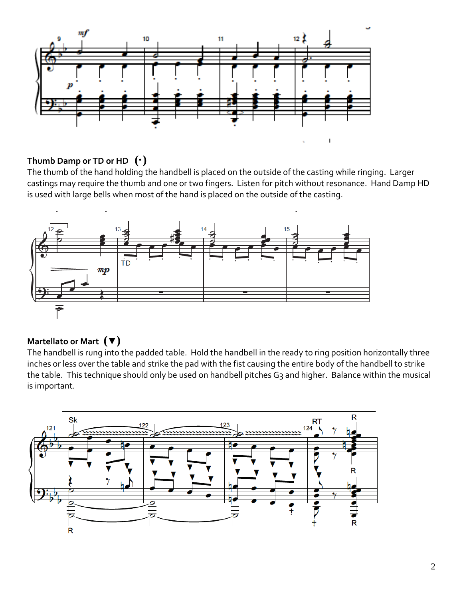

### **Thumb Damp or TD or HD (·)**

The thumb of the hand holding the handbell is placed on the outside of the casting while ringing. Larger castings may require the thumb and one or two fingers. Listen for pitch without resonance. Hand Damp HD is used with large bells when most of the hand is placed on the outside of the casting.



# **Martellato or Mart (▼)**

The handbell is rung into the padded table. Hold the handbell in the ready to ring position horizontally three inches or less over the table and strike the pad with the fist causing the entire body of the handbell to strike the table. This technique should only be used on handbell pitches G3 and higher. Balance within the musical is important.

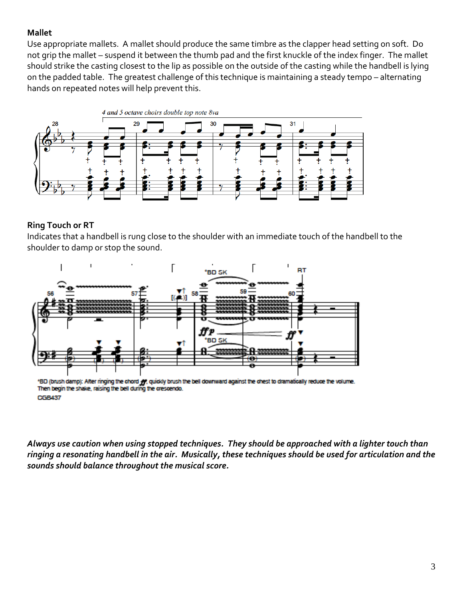### **Mallet**

Use appropriate mallets. A mallet should produce the same timbre as the clapper head setting on soft. Do not grip the mallet – suspend it between the thumb pad and the first knuckle of the index finger. The mallet should strike the casting closest to the lip as possible on the outside of the casting while the handbell is lying on the padded table. The greatest challenge of this technique is maintaining a steady tempo – alternating hands on repeated notes will help prevent this.



# **Ring Touch or RT**

Indicates that a handbell is rung close to the shoulder with an immediate touch of the handbell to the shoulder to damp or stop the sound.



'BD (brush damp): After ringing the chord  $f\hspace{-0.1cm}f\hspace{-0.1cm}f$ , quickly brush the bell downward against the chest to dramatically reduce the volume. Then begin the shake, raising the bell during the crescendo. **CGB437** 

*Always use caution when using stopped techniques. They should be approached with a lighter touch than ringing a resonating handbell in the air. Musically, these techniques should be used for articulation and the sounds should balance throughout the musical score.*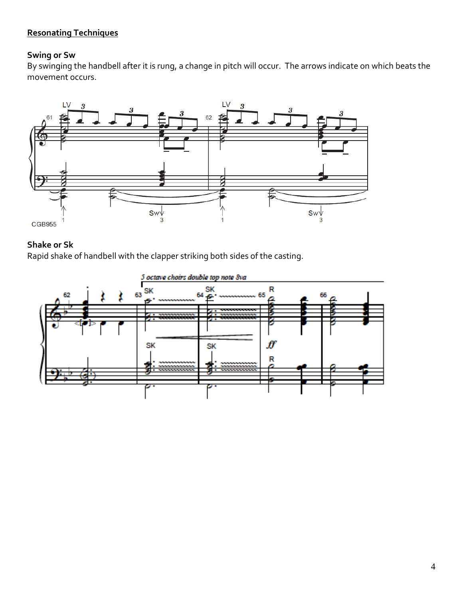## **Resonating Techniques**

#### **Swing or Sw**

By swinging the handbell after it is rung, a change in pitch will occur. The arrows indicate on which beats the movement occurs.



### **Shake or Sk**

Rapid shake of handbell with the clapper striking both sides of the casting.

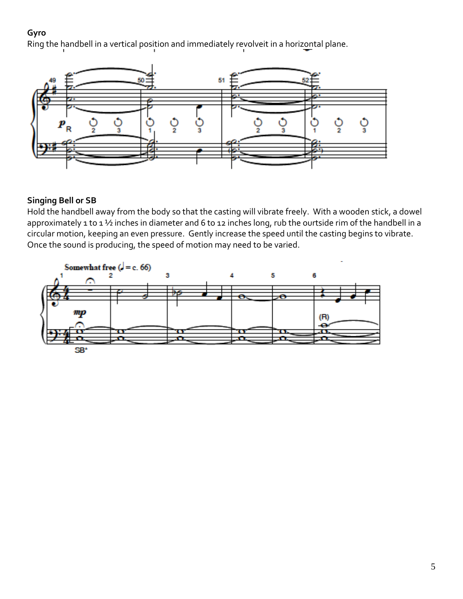#### **Gyro**

Ring the handbell in a vertical position and immediately revolveit in a horizontal plane.



### **Singing Bell or SB**

Hold the handbell away from the body so that the casting will vibrate freely. With a wooden stick, a dowel approximately 1 to 1 1/2 inches in diameter and 6 to 12 inches long, rub the ourtside rim of the handbell in a circular motion, keeping an even pressure. Gently increase the speed until the casting begins to vibrate. Once the sound is producing, the speed of motion may need to be varied.

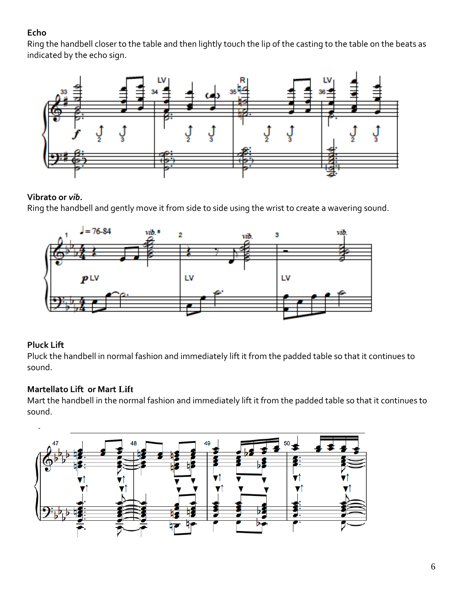# **Echo**

Ring the handbell closer to the table and then lightly touch the lip of the casting to the table on the beats as indicated by the echo sign.



#### **Vibrato or** *vib.*

Ring the handbell and gently move it from side to side using the wrist to create a wavering sound.



# **Pluck Lift**

Pluck the handbell in normal fashion and immediately lift it from the padded table so that it continues to sound.

#### **Martellato Lift or Mart Lift**

Mart the handbell in the normal fashion and immediately lift it from the padded table so that it continues to sound.